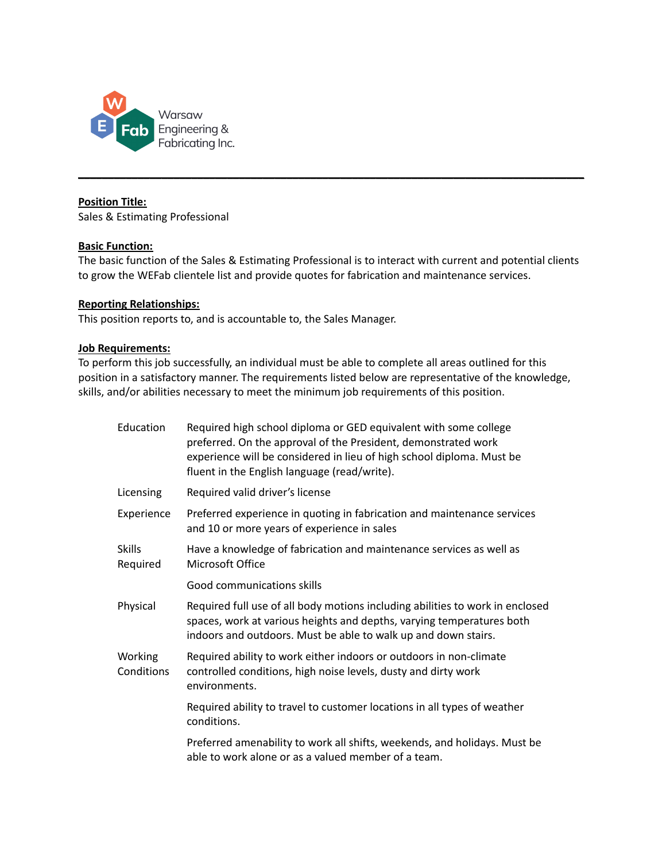

## **Position Title:**

Sales & Estimating Professional

## **Basic Function:**

The basic function of the Sales & Estimating Professional is to interact with current and potential clients to grow the WEFab clientele list and provide quotes for fabrication and maintenance services.

**\_\_\_\_\_\_\_\_\_\_\_\_\_\_\_\_\_\_\_\_\_\_\_\_\_\_\_\_\_\_\_\_\_\_\_\_\_\_\_\_\_\_\_\_\_\_\_\_\_\_\_\_\_\_\_\_\_\_\_\_\_\_\_\_\_\_\_\_\_\_\_\_\_\_\_\_\_\_\_\_\_\_\_\_\_**

# **Reporting Relationships:**

This position reports to, and is accountable to, the Sales Manager.

## **Job Requirements:**

To perform this job successfully, an individual must be able to complete all areas outlined for this position in a satisfactory manner. The requirements listed below are representative of the knowledge, skills, and/or abilities necessary to meet the minimum job requirements of this position.

| Education                 | Required high school diploma or GED equivalent with some college<br>preferred. On the approval of the President, demonstrated work<br>experience will be considered in lieu of high school diploma. Must be<br>fluent in the English language (read/write). |  |
|---------------------------|-------------------------------------------------------------------------------------------------------------------------------------------------------------------------------------------------------------------------------------------------------------|--|
| Licensing                 | Required valid driver's license                                                                                                                                                                                                                             |  |
| Experience                | Preferred experience in quoting in fabrication and maintenance services<br>and 10 or more years of experience in sales                                                                                                                                      |  |
| <b>Skills</b><br>Required | Have a knowledge of fabrication and maintenance services as well as<br>Microsoft Office                                                                                                                                                                     |  |
|                           | Good communications skills                                                                                                                                                                                                                                  |  |
| Physical                  | Required full use of all body motions including abilities to work in enclosed<br>spaces, work at various heights and depths, varying temperatures both<br>indoors and outdoors. Must be able to walk up and down stairs.                                    |  |
| Working<br>Conditions     | Required ability to work either indoors or outdoors in non-climate<br>controlled conditions, high noise levels, dusty and dirty work<br>environments.                                                                                                       |  |
|                           | Required ability to travel to customer locations in all types of weather<br>conditions.                                                                                                                                                                     |  |
|                           | Preferred amenability to work all shifts, weekends, and holidays. Must be<br>able to work alone or as a valued member of a team.                                                                                                                            |  |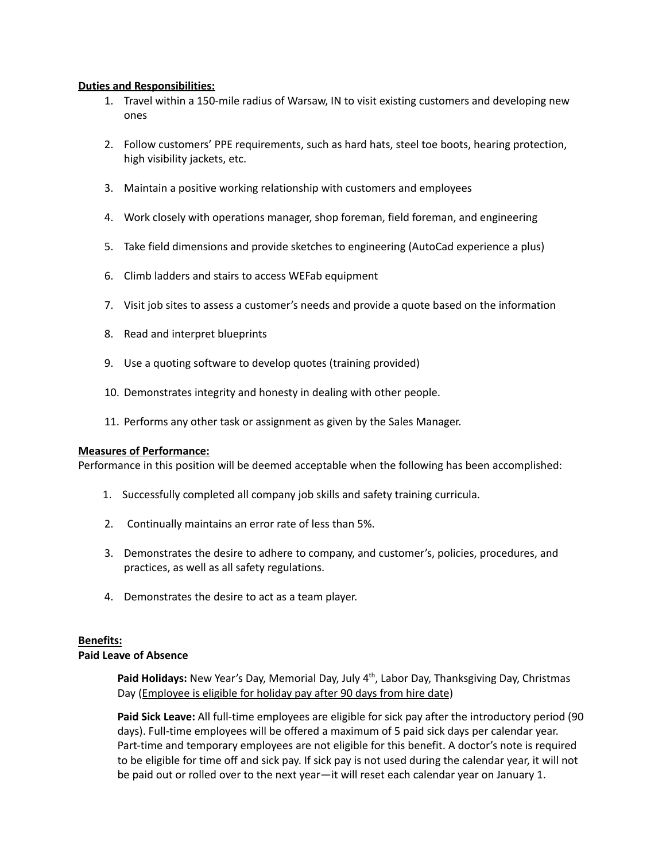## **Duties and Responsibilities:**

- 1. Travel within a 150-mile radius of Warsaw, IN to visit existing customers and developing new ones
- 2. Follow customers' PPE requirements, such as hard hats, steel toe boots, hearing protection, high visibility jackets, etc.
- 3. Maintain a positive working relationship with customers and employees
- 4. Work closely with operations manager, shop foreman, field foreman, and engineering
- 5. Take field dimensions and provide sketches to engineering (AutoCad experience a plus)
- 6. Climb ladders and stairs to access WEFab equipment
- 7. Visit job sites to assess a customer's needs and provide a quote based on the information
- 8. Read and interpret blueprints
- 9. Use a quoting software to develop quotes (training provided)
- 10. Demonstrates integrity and honesty in dealing with other people.
- 11. Performs any other task or assignment as given by the Sales Manager.

# **Measures of Performance:**

Performance in this position will be deemed acceptable when the following has been accomplished:

- 1. Successfully completed all company job skills and safety training curricula.
- 2. Continually maintains an error rate of less than 5%.
- 3. Demonstrates the desire to adhere to company, and customer's, policies, procedures, and practices, as well as all safety regulations.
- 4. Demonstrates the desire to act as a team player.

# **Benefits:**

# **Paid Leave of Absence**

Paid Holidays: New Year's Day, Memorial Day, July 4<sup>th</sup>, Labor Day, Thanksgiving Day, Christmas Day (Employee is eligible for holiday pay after 90 days from hire date)

**Paid Sick Leave:** All full-time employees are eligible for sick pay after the introductory period (90 days). Full-time employees will be offered a maximum of 5 paid sick days per calendar year. Part-time and temporary employees are not eligible for this benefit. A doctor's note is required to be eligible for time off and sick pay. If sick pay is not used during the calendar year, it will not be paid out or rolled over to the next year—it will reset each calendar year on January 1.